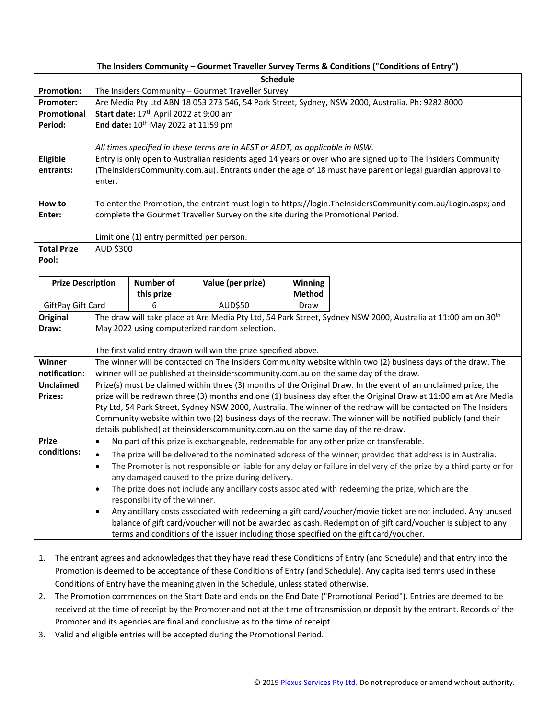## **The Insiders Community – Gourmet Traveller Survey Terms & Conditions ("Conditions of Entry")**

| <b>Schedule</b>                           |                                                                                                                                                                                                       |            |                   |               |  |
|-------------------------------------------|-------------------------------------------------------------------------------------------------------------------------------------------------------------------------------------------------------|------------|-------------------|---------------|--|
| <b>Promotion:</b>                         | The Insiders Community - Gourmet Traveller Survey                                                                                                                                                     |            |                   |               |  |
| Promoter:                                 | Are Media Pty Ltd ABN 18 053 273 546, 54 Park Street, Sydney, NSW 2000, Australia. Ph: 9282 8000                                                                                                      |            |                   |               |  |
| Promotional                               | Start date: 17 <sup>th</sup> April 2022 at 9:00 am                                                                                                                                                    |            |                   |               |  |
| Period:                                   | End date: 10 <sup>th</sup> May 2022 at 11:59 pm                                                                                                                                                       |            |                   |               |  |
|                                           |                                                                                                                                                                                                       |            |                   |               |  |
|                                           | All times specified in these terms are in AEST or AEDT, as applicable in NSW.                                                                                                                         |            |                   |               |  |
| Eligible                                  | Entry is only open to Australian residents aged 14 years or over who are signed up to The Insiders Community                                                                                          |            |                   |               |  |
| entrants:                                 | (TheInsidersCommunity.com.au). Entrants under the age of 18 must have parent or legal guardian approval to                                                                                            |            |                   |               |  |
|                                           | enter.                                                                                                                                                                                                |            |                   |               |  |
| How to                                    | To enter the Promotion, the entrant must login to https://login.TheInsidersCommunity.com.au/Login.aspx; and                                                                                           |            |                   |               |  |
| Enter:                                    | complete the Gourmet Traveller Survey on the site during the Promotional Period.                                                                                                                      |            |                   |               |  |
|                                           |                                                                                                                                                                                                       |            |                   |               |  |
|                                           | Limit one (1) entry permitted per person.                                                                                                                                                             |            |                   |               |  |
| <b>Total Prize</b>                        | AUD \$300                                                                                                                                                                                             |            |                   |               |  |
| Pool:                                     |                                                                                                                                                                                                       |            |                   |               |  |
|                                           |                                                                                                                                                                                                       |            |                   |               |  |
| <b>Prize Description</b>                  |                                                                                                                                                                                                       | Number of  | Value (per prize) | Winning       |  |
|                                           |                                                                                                                                                                                                       | this prize |                   | <b>Method</b> |  |
| AUD\$50<br>GiftPay Gift Card<br>6<br>Draw |                                                                                                                                                                                                       |            |                   |               |  |
| <b>Original</b><br>Draw:                  | The draw will take place at Are Media Pty Ltd, 54 Park Street, Sydney NSW 2000, Australia at 11:00 am on 30 <sup>th</sup><br>May 2022 using computerized random selection.                            |            |                   |               |  |
|                                           |                                                                                                                                                                                                       |            |                   |               |  |
|                                           | The first valid entry drawn will win the prize specified above.                                                                                                                                       |            |                   |               |  |
| Winner                                    | The winner will be contacted on The Insiders Community website within two (2) business days of the draw. The                                                                                          |            |                   |               |  |
| notification:                             | winner will be published at theinsiderscommunity.com.au on the same day of the draw.                                                                                                                  |            |                   |               |  |
| <b>Unclaimed</b>                          | Prize(s) must be claimed within three (3) months of the Original Draw. In the event of an unclaimed prize, the                                                                                        |            |                   |               |  |
| Prizes:                                   | prize will be redrawn three (3) months and one (1) business day after the Original Draw at 11:00 am at Are Media                                                                                      |            |                   |               |  |
|                                           | Pty Ltd, 54 Park Street, Sydney NSW 2000, Australia. The winner of the redraw will be contacted on The Insiders                                                                                       |            |                   |               |  |
|                                           | Community website within two (2) business days of the redraw. The winner will be notified publicly (and their                                                                                         |            |                   |               |  |
|                                           | details published) at theinsiderscommunity.com.au on the same day of the re-draw.                                                                                                                     |            |                   |               |  |
| <b>Prize</b>                              | No part of this prize is exchangeable, redeemable for any other prize or transferable.<br>$\bullet$                                                                                                   |            |                   |               |  |
| conditions:                               | The prize will be delivered to the nominated address of the winner, provided that address is in Australia.<br>$\bullet$                                                                               |            |                   |               |  |
|                                           | The Promoter is not responsible or liable for any delay or failure in delivery of the prize by a third party or for<br>$\bullet$                                                                      |            |                   |               |  |
|                                           | any damaged caused to the prize during delivery.                                                                                                                                                      |            |                   |               |  |
|                                           | The prize does not include any ancillary costs associated with redeeming the prize, which are the<br>٠                                                                                                |            |                   |               |  |
|                                           | responsibility of the winner.                                                                                                                                                                         |            |                   |               |  |
|                                           | Any ancillary costs associated with redeeming a gift card/voucher/movie ticket are not included. Any unused<br>$\bullet$                                                                              |            |                   |               |  |
|                                           | balance of gift card/voucher will not be awarded as cash. Redemption of gift card/voucher is subject to any<br>terms and conditions of the issuer including those specified on the gift card/voucher. |            |                   |               |  |
|                                           |                                                                                                                                                                                                       |            |                   |               |  |

- 1. The entrant agrees and acknowledges that they have read these Conditions of Entry (and Schedule) and that entry into the Promotion is deemed to be acceptance of these Conditions of Entry (and Schedule). Any capitalised terms used in these Conditions of Entry have the meaning given in the Schedule, unless stated otherwise.
- 2. The Promotion commences on the Start Date and ends on the End Date ("Promotional Period"). Entries are deemed to be received at the time of receipt by the Promoter and not at the time of transmission or deposit by the entrant. Records of the Promoter and its agencies are final and conclusive as to the time of receipt.
- 3. Valid and eligible entries will be accepted during the Promotional Period.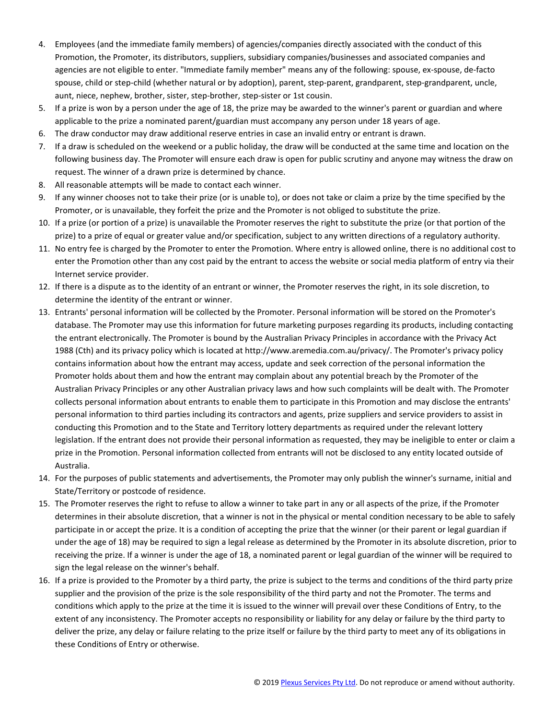- 4. Employees (and the immediate family members) of agencies/companies directly associated with the conduct of this Promotion, the Promoter, its distributors, suppliers, subsidiary companies/businesses and associated companies and agencies are not eligible to enter. "Immediate family member" means any of the following: spouse, ex-spouse, de-facto spouse, child or step-child (whether natural or by adoption), parent, step-parent, grandparent, step-grandparent, uncle, aunt, niece, nephew, brother, sister, step-brother, step-sister or 1st cousin.
- 5. If a prize is won by a person under the age of 18, the prize may be awarded to the winner's parent or guardian and where applicable to the prize a nominated parent/guardian must accompany any person under 18 years of age.
- 6. The draw conductor may draw additional reserve entries in case an invalid entry or entrant is drawn.
- 7. If a draw is scheduled on the weekend or a public holiday, the draw will be conducted at the same time and location on the following business day. The Promoter will ensure each draw is open for public scrutiny and anyone may witness the draw on request. The winner of a drawn prize is determined by chance.
- 8. All reasonable attempts will be made to contact each winner.
- 9. If any winner chooses not to take their prize (or is unable to), or does not take or claim a prize by the time specified by the Promoter, or is unavailable, they forfeit the prize and the Promoter is not obliged to substitute the prize.
- 10. If a prize (or portion of a prize) is unavailable the Promoter reserves the right to substitute the prize (or that portion of the prize) to a prize of equal or greater value and/or specification, subject to any written directions of a regulatory authority.
- 11. No entry fee is charged by the Promoter to enter the Promotion. Where entry is allowed online, there is no additional cost to enter the Promotion other than any cost paid by the entrant to access the website or social media platform of entry via their Internet service provider.
- 12. If there is a dispute as to the identity of an entrant or winner, the Promoter reserves the right, in its sole discretion, to determine the identity of the entrant or winner.
- 13. Entrants' personal information will be collected by the Promoter. Personal information will be stored on the Promoter's database. The Promoter may use this information for future marketing purposes regarding its products, including contacting the entrant electronically. The Promoter is bound by the Australian Privacy Principles in accordance with the Privacy Act 1988 (Cth) and its privacy policy which is located at http://www.aremedia.com.au/privacy/. The Promoter's privacy policy contains information about how the entrant may access, update and seek correction of the personal information the Promoter holds about them and how the entrant may complain about any potential breach by the Promoter of the Australian Privacy Principles or any other Australian privacy laws and how such complaints will be dealt with. The Promoter collects personal information about entrants to enable them to participate in this Promotion and may disclose the entrants' personal information to third parties including its contractors and agents, prize suppliers and service providers to assist in conducting this Promotion and to the State and Territory lottery departments as required under the relevant lottery legislation. If the entrant does not provide their personal information as requested, they may be ineligible to enter or claim a prize in the Promotion. Personal information collected from entrants will not be disclosed to any entity located outside of Australia.
- 14. For the purposes of public statements and advertisements, the Promoter may only publish the winner's surname, initial and State/Territory or postcode of residence.
- 15. The Promoter reserves the right to refuse to allow a winner to take part in any or all aspects of the prize, if the Promoter determines in their absolute discretion, that a winner is not in the physical or mental condition necessary to be able to safely participate in or accept the prize. It is a condition of accepting the prize that the winner (or their parent or legal guardian if under the age of 18) may be required to sign a legal release as determined by the Promoter in its absolute discretion, prior to receiving the prize. If a winner is under the age of 18, a nominated parent or legal guardian of the winner will be required to sign the legal release on the winner's behalf.
- 16. If a prize is provided to the Promoter by a third party, the prize is subject to the terms and conditions of the third party prize supplier and the provision of the prize is the sole responsibility of the third party and not the Promoter. The terms and conditions which apply to the prize at the time it is issued to the winner will prevail over these Conditions of Entry, to the extent of any inconsistency. The Promoter accepts no responsibility or liability for any delay or failure by the third party to deliver the prize, any delay or failure relating to the prize itself or failure by the third party to meet any of its obligations in these Conditions of Entry or otherwise.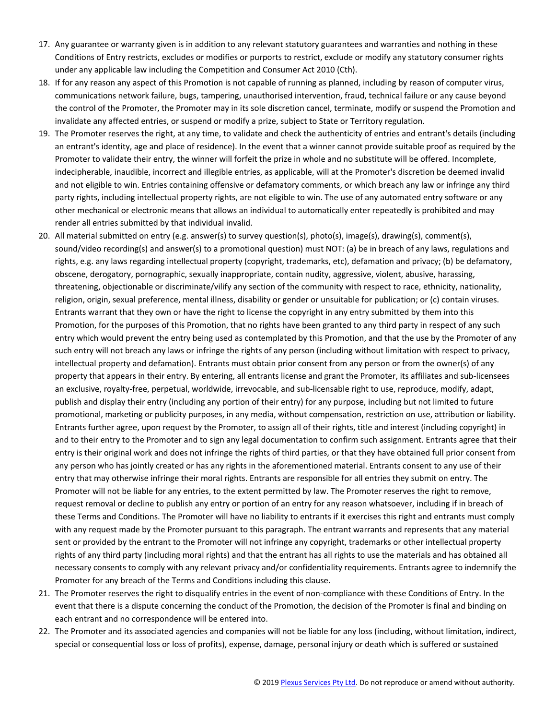- 17. Any guarantee or warranty given is in addition to any relevant statutory guarantees and warranties and nothing in these Conditions of Entry restricts, excludes or modifies or purports to restrict, exclude or modify any statutory consumer rights under any applicable law including the Competition and Consumer Act 2010 (Cth).
- 18. If for any reason any aspect of this Promotion is not capable of running as planned, including by reason of computer virus, communications network failure, bugs, tampering, unauthorised intervention, fraud, technical failure or any cause beyond the control of the Promoter, the Promoter may in its sole discretion cancel, terminate, modify or suspend the Promotion and invalidate any affected entries, or suspend or modify a prize, subject to State or Territory regulation.
- 19. The Promoter reserves the right, at any time, to validate and check the authenticity of entries and entrant's details (including an entrant's identity, age and place of residence). In the event that a winner cannot provide suitable proof as required by the Promoter to validate their entry, the winner will forfeit the prize in whole and no substitute will be offered. Incomplete, indecipherable, inaudible, incorrect and illegible entries, as applicable, will at the Promoter's discretion be deemed invalid and not eligible to win. Entries containing offensive or defamatory comments, or which breach any law or infringe any third party rights, including intellectual property rights, are not eligible to win. The use of any automated entry software or any other mechanical or electronic means that allows an individual to automatically enter repeatedly is prohibited and may render all entries submitted by that individual invalid.
- 20. All material submitted on entry (e.g. answer(s) to survey question(s), photo(s), image(s), drawing(s), comment(s), sound/video recording(s) and answer(s) to a promotional question) must NOT: (a) be in breach of any laws, regulations and rights, e.g. any laws regarding intellectual property (copyright, trademarks, etc), defamation and privacy; (b) be defamatory, obscene, derogatory, pornographic, sexually inappropriate, contain nudity, aggressive, violent, abusive, harassing, threatening, objectionable or discriminate/vilify any section of the community with respect to race, ethnicity, nationality, religion, origin, sexual preference, mental illness, disability or gender or unsuitable for publication; or (c) contain viruses. Entrants warrant that they own or have the right to license the copyright in any entry submitted by them into this Promotion, for the purposes of this Promotion, that no rights have been granted to any third party in respect of any such entry which would prevent the entry being used as contemplated by this Promotion, and that the use by the Promoter of any such entry will not breach any laws or infringe the rights of any person (including without limitation with respect to privacy, intellectual property and defamation). Entrants must obtain prior consent from any person or from the owner(s) of any property that appears in their entry. By entering, all entrants license and grant the Promoter, its affiliates and sub-licensees an exclusive, royalty-free, perpetual, worldwide, irrevocable, and sub-licensable right to use, reproduce, modify, adapt, publish and display their entry (including any portion of their entry) for any purpose, including but not limited to future promotional, marketing or publicity purposes, in any media, without compensation, restriction on use, attribution or liability. Entrants further agree, upon request by the Promoter, to assign all of their rights, title and interest (including copyright) in and to their entry to the Promoter and to sign any legal documentation to confirm such assignment. Entrants agree that their entry is their original work and does not infringe the rights of third parties, or that they have obtained full prior consent from any person who has jointly created or has any rights in the aforementioned material. Entrants consent to any use of their entry that may otherwise infringe their moral rights. Entrants are responsible for all entries they submit on entry. The Promoter will not be liable for any entries, to the extent permitted by law. The Promoter reserves the right to remove, request removal or decline to publish any entry or portion of an entry for any reason whatsoever, including if in breach of these Terms and Conditions. The Promoter will have no liability to entrants if it exercises this right and entrants must comply with any request made by the Promoter pursuant to this paragraph. The entrant warrants and represents that any material sent or provided by the entrant to the Promoter will not infringe any copyright, trademarks or other intellectual property rights of any third party (including moral rights) and that the entrant has all rights to use the materials and has obtained all necessary consents to comply with any relevant privacy and/or confidentiality requirements. Entrants agree to indemnify the Promoter for any breach of the Terms and Conditions including this clause.
- 21. The Promoter reserves the right to disqualify entries in the event of non-compliance with these Conditions of Entry. In the event that there is a dispute concerning the conduct of the Promotion, the decision of the Promoter is final and binding on each entrant and no correspondence will be entered into.
- 22. The Promoter and its associated agencies and companies will not be liable for any loss (including, without limitation, indirect, special or consequential loss or loss of profits), expense, damage, personal injury or death which is suffered or sustained